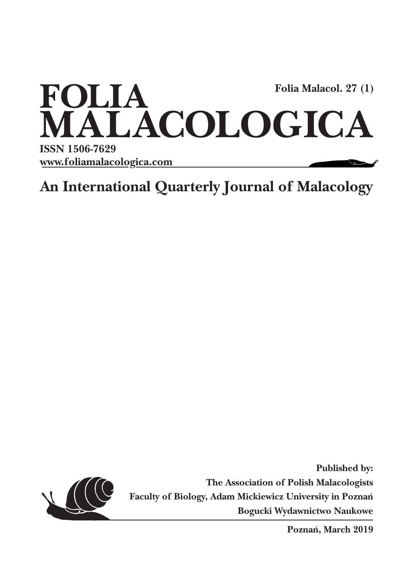

**An International Quarterly Journal of Malacology**



**Published by: The Association of Polish Malacologists Faculty of Biology, Adam Mickiewicz University in Poznań Bogucki Wydawnictwo Naukowe**

**Poznań, March 2019**